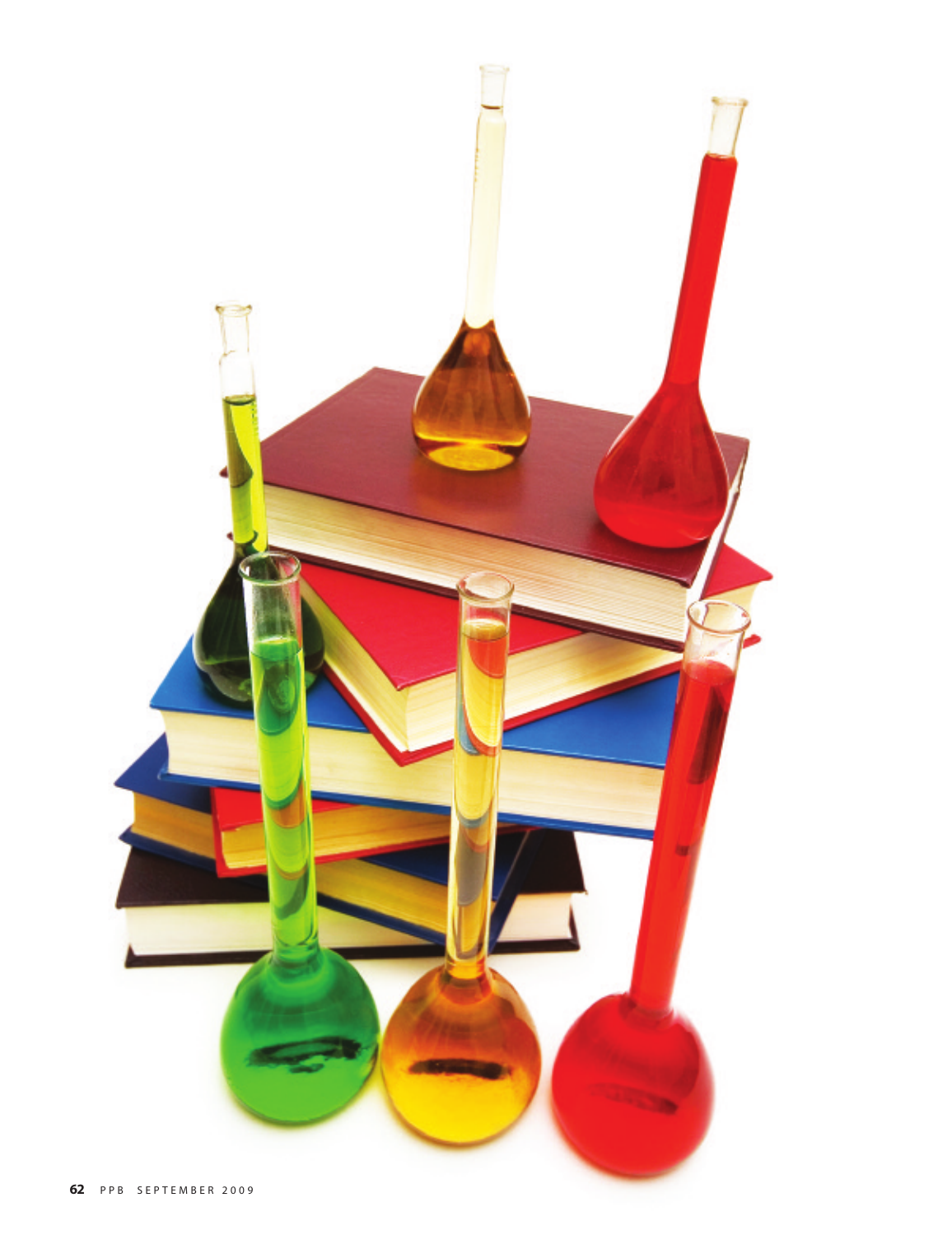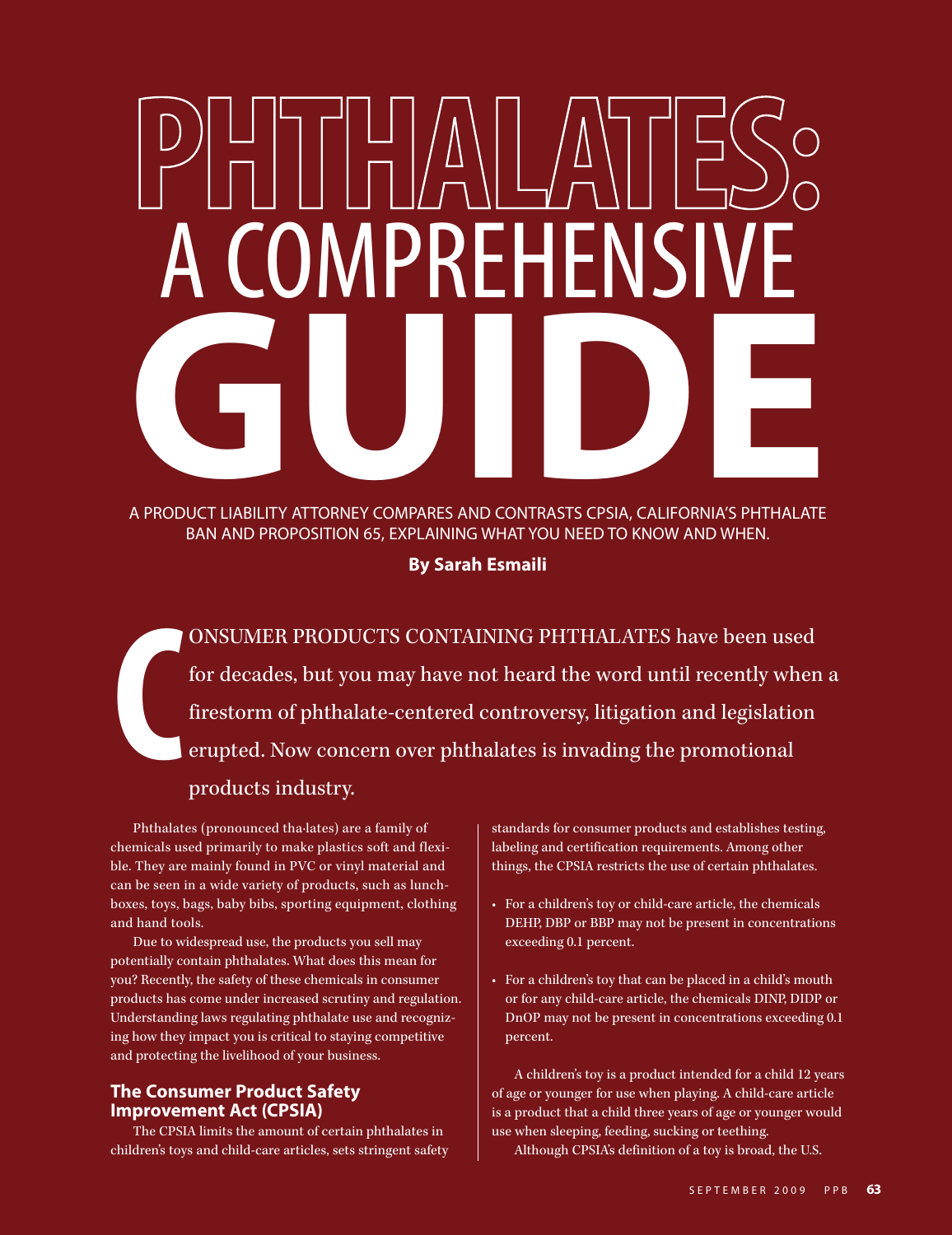# **PHTHALATES:** <sup>A</sup> COMPREHENSIVE A PRODUCT LIABILITY ATTORNEY COMPARES **I TRASTS CPSIA, CALIFOR E**

A PRODUCT LIABILITY ATTORNEY COMPARES AND CONTRASTS CPSIA, CALIFORNIA'S PHTHALATE BAN AND PROPOSITION 65, EXPLAINING WHAT YOU NEED TO KNOW AND WHEN.

**By Sarah Esmaili**

ONSUMER PRODUCTS CONTAINING PHTHALATES have been used for decades, but you may have not heard the word until recently when a firestorm of phthalate-centered controversy, litigation and legislation erupted. Now concern over phthalates is invading the promotional products industry. products industry.

Phthalates (pronounced tha·lates) are a family of chemicals used primarily to make plastics soft and flexible. They are mainly found in PVC or vinyl material and can be seen in a wide variety of products, such as lunchboxes, toys, bags, baby bibs, sporting equipment, clothing and hand tools.

Due to widespread use, the products you sell may potentially contain phthalates. What does this mean for you? Recently, the safety of these chemicals in consumer products has come under increased scrutiny and regulation. Understanding laws regulating phthalate use and recognizing how they impact you is critical to staying competitive and protecting the livelihood of your business.

## **The Consumer Product Safety Improvement Act (CPSIA)**

The CPSIA limits the amount of certain phthalates in children's toys and child-care articles, sets stringent safety standards for consumer products and establishes testing, labeling and certification requirements. Among other things, the CPSIA restricts the use of certain phthalates.

- For a children's toy or child-care article, the chemicals DEHP, DBP or BBP may not be present in concentrations exceeding 0.1 percent.
- For a children's toy that can be placed in a child's mouth or for any child-care article, the chemicals DINP, DIDP or DnOP may not be present in concentrations exceeding 0.1 percent.

A children's toy is a product intended for a child 12 years of age or younger for use when playing. A child-care article is a product that a child three years of age or younger would use when sleeping, feeding, sucking or teething.

Although CPSIA's definition of a toy is broad, the U.S.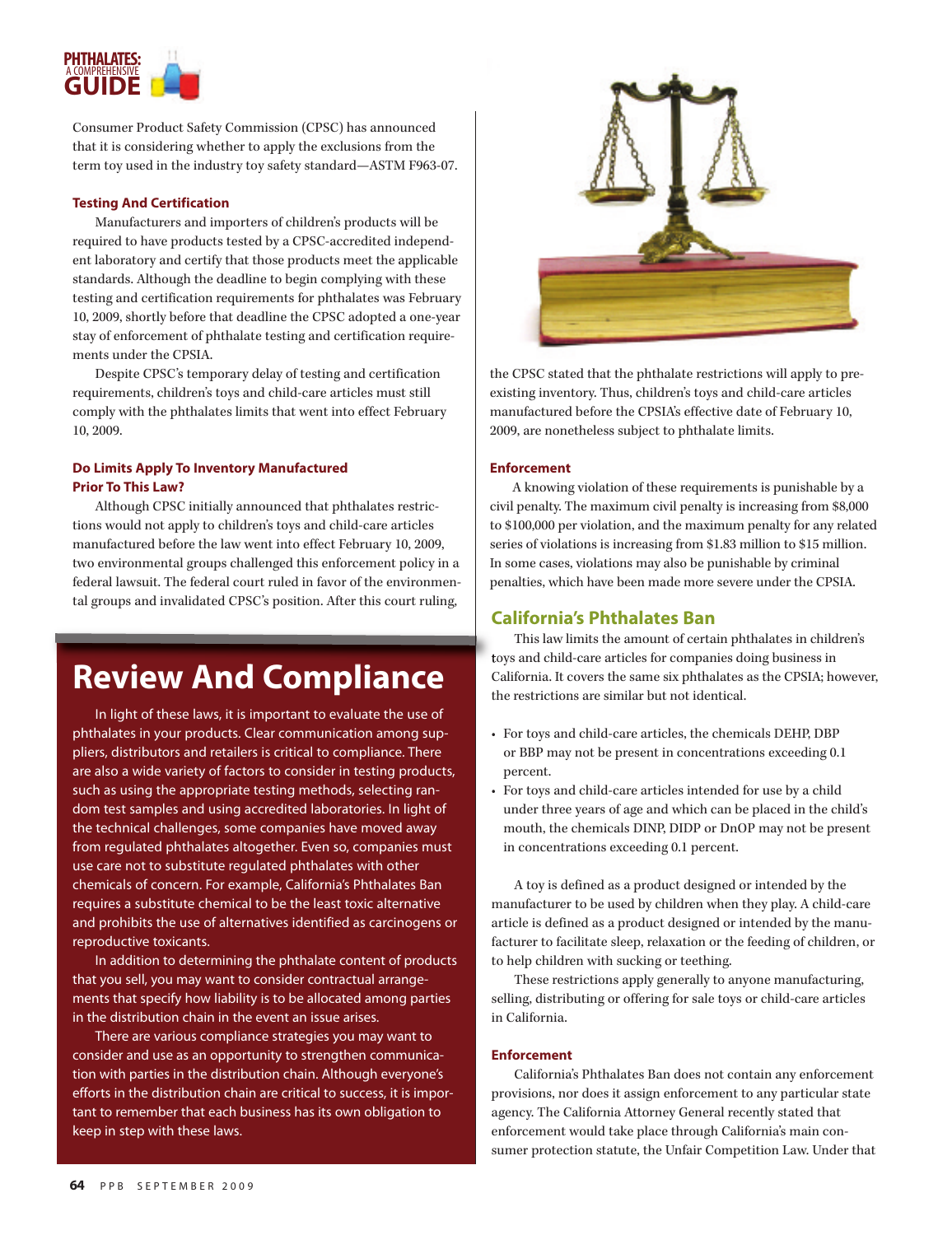

Consumer Product Safety Commission (CPSC) has announced that it is considering whether to apply the exclusions from the term toy used in the industry toy safety standard—ASTM F963-07.

## **Testing And Certification**

Manufacturers and importers of children's products will be required to have products tested by a CPSC-accredited independent laboratory and certify that those products meet the applicable standards. Although the deadline to begin complying with these testing and certification requirements for phthalates was February 10, 2009, shortly before that deadline the CPSC adopted a one-year stay of enforcement of phthalate testing and certification requirements under the CPSIA.

Despite CPSC's temporary delay of testing and certification requirements, children's toys and child-care articles must still comply with the phthalates limits that went into effect February 10, 2009.

## **Do Limits Apply To Inventory Manufactured Prior To This Law?**

Although CPSC initially announced that phthalates restrictions would not apply to children's toys and child-care articles manufactured before the law went into effect February 10, 2009, two environmental groups challenged this enforcement policy in a federal lawsuit. The federal court ruled in favor of the environmental groups and invalidated CPSC's position. After this court ruling,

## **Review And Compliance**

In light of these laws, it is important to evaluate the use of phthalates in your products. Clear communication among suppliers, distributors and retailers is critical to compliance. There are also a wide variety of factors to consider in testing products, such as using the appropriate testing methods, selecting random test samples and using accredited laboratories. In light of the technical challenges, some companies have moved away from regulated phthalates altogether. Even so, companies must use care not to substitute regulated phthalates with other chemicals of concern. For example, California's Phthalates Ban requires a substitute chemical to be the least toxic alternative and prohibits the use of alternatives identified as carcinogens or reproductive toxicants.

In addition to determining the phthalate content of products that you sell, you may want to consider contractual arrangements that specify how liability is to be allocated among parties in the distribution chain in the event an issue arises.

There are various compliance strategies you may want to consider and use as an opportunity to strengthen communication with parties in the distribution chain. Although everyone's efforts in the distribution chain are critical to success, it is important to remember that each business has its own obligation to keep in step with these laws.



the CPSC stated that the phthalate restrictions will apply to preexisting inventory. Thus, children's toys and child-care articles manufactured before the CPSIA's effective date of February 10, 2009, are nonetheless subject to phthalate limits.

#### **Enforcement**

A knowing violation of these requirements is punishable by a civil penalty. The maximum civil penalty is increasing from \$8,000 to \$100,000 per violation, and the maximum penalty for any related series of violations is increasing from \$1.83 million to \$15 million. In some cases, violations may also be punishable by criminal penalties, which have been made more severe under the CPSIA.

## **California's Phthalates Ban**

This law limits the amount of certain phthalates in children's toys and child-care articles for companies doing business in California. It covers the same six phthalates as the CPSIA; however, the restrictions are similar but not identical.

- For toys and child-care articles, the chemicals DEHP, DBP or BBP may not be present in concentrations exceeding 0.1 percent.
- For toys and child-care articles intended for use by a child under three years of age and which can be placed in the child's mouth, the chemicals DINP, DIDP or DnOP may not be present in concentrations exceeding 0.1 percent.

A toy is defined as a product designed or intended by the manufacturer to be used by children when they play. A child-care article is defined as a product designed or intended by the manufacturer to facilitate sleep, relaxation or the feeding of children, or to help children with sucking or teething.

These restrictions apply generally to anyone manufacturing, selling, distributing or offering for sale toys or child-care articles in California.

## **Enforcement**

California's Phthalates Ban does not contain any enforcement provisions, nor does it assign enforcement to any particular state agency. The California Attorney General recently stated that enforcement would take place through California's main consumer protection statute, the Unfair Competition Law. Under that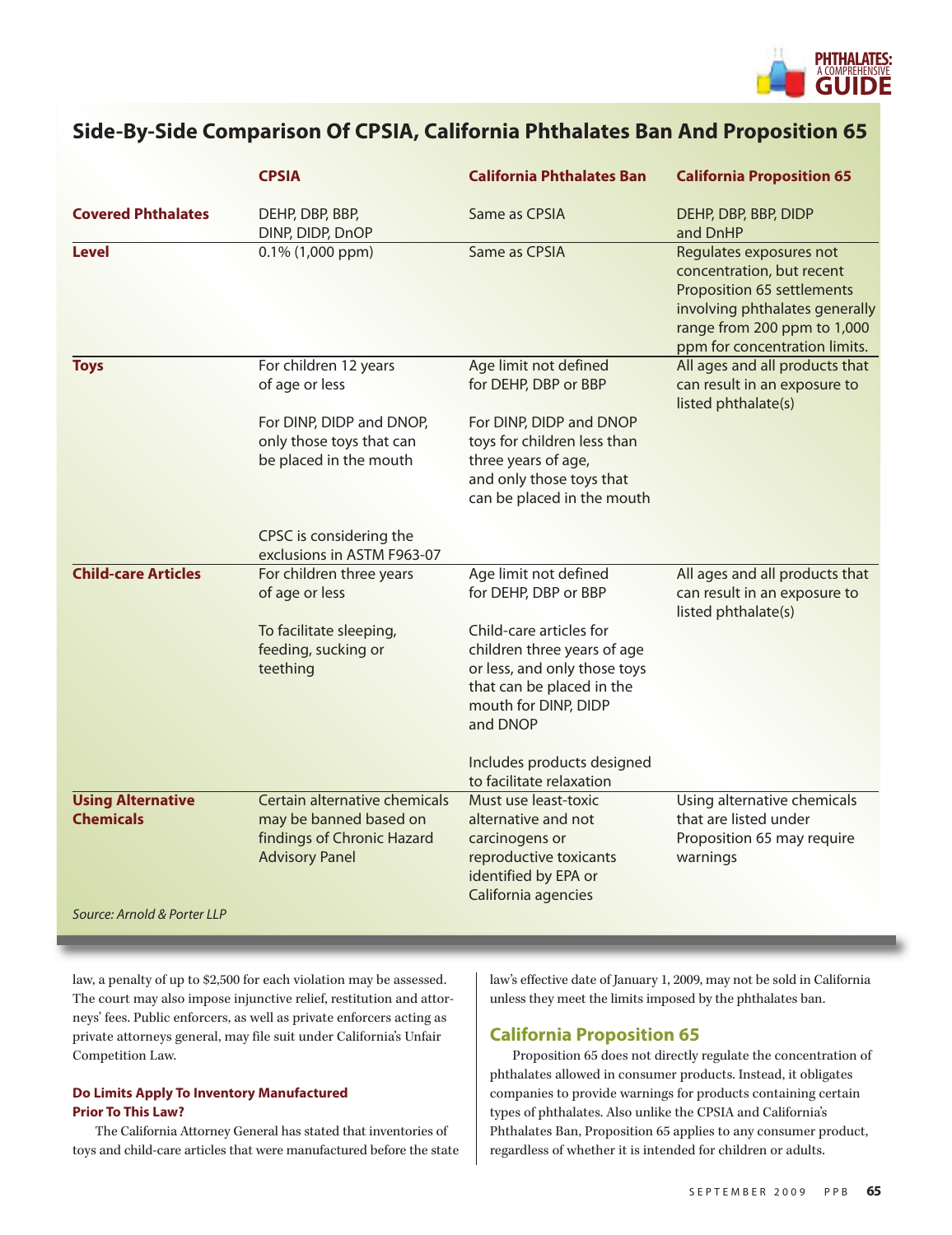

## **Side-By-Side Comparison Of CPSIA, California Phthalates Ban And Proposition 65**

|                                              | <b>CPSIA</b>                                                                                                   | <b>California Phthalates Ban</b>                                                                                                                        | <b>California Proposition 65</b>                                                                                                                                                     |
|----------------------------------------------|----------------------------------------------------------------------------------------------------------------|---------------------------------------------------------------------------------------------------------------------------------------------------------|--------------------------------------------------------------------------------------------------------------------------------------------------------------------------------------|
| <b>Covered Phthalates</b>                    | DEHP, DBP, BBP,<br>DINP, DIDP, DnOP                                                                            | Same as CPSIA                                                                                                                                           | DEHP, DBP, BBP, DIDP<br>and DnHP                                                                                                                                                     |
| <b>Level</b>                                 | $0.1\%$ (1,000 ppm)                                                                                            | Same as CPSIA                                                                                                                                           | Regulates exposures not<br>concentration, but recent<br>Proposition 65 settlements<br>involving phthalates generally<br>range from 200 ppm to 1,000<br>ppm for concentration limits. |
| <b>Toys</b>                                  | For children 12 years<br>of age or less                                                                        | Age limit not defined<br>for DEHP, DBP or BBP                                                                                                           | All ages and all products that<br>can result in an exposure to<br>listed phthalate(s)                                                                                                |
|                                              | For DINP, DIDP and DNOP,<br>only those toys that can<br>be placed in the mouth                                 | For DINP, DIDP and DNOP<br>toys for children less than<br>three years of age,<br>and only those toys that<br>can be placed in the mouth                 |                                                                                                                                                                                      |
|                                              | CPSC is considering the<br>exclusions in ASTM F963-07                                                          |                                                                                                                                                         |                                                                                                                                                                                      |
| <b>Child-care Articles</b>                   | For children three years<br>of age or less                                                                     | Age limit not defined<br>for DEHP, DBP or BBP                                                                                                           | All ages and all products that<br>can result in an exposure to<br>listed phthalate(s)                                                                                                |
|                                              | To facilitate sleeping,<br>feeding, sucking or<br>teething                                                     | Child-care articles for<br>children three years of age<br>or less, and only those toys<br>that can be placed in the<br>mouth for DINP, DIDP<br>and DNOP |                                                                                                                                                                                      |
|                                              |                                                                                                                | Includes products designed<br>to facilitate relaxation                                                                                                  |                                                                                                                                                                                      |
| <b>Using Alternative</b><br><b>Chemicals</b> | Certain alternative chemicals<br>may be banned based on<br>findings of Chronic Hazard<br><b>Advisory Panel</b> | Must use least-toxic<br>alternative and not<br>carcinogens or<br>reproductive toxicants<br>identified by EPA or<br>California agencies                  | Using alternative chemicals<br>that are listed under<br>Proposition 65 may require<br>warnings                                                                                       |
| Source: Arnold & Porter LLP                  |                                                                                                                |                                                                                                                                                         |                                                                                                                                                                                      |

law, a penalty of up to \$2,500 for each violation may be assessed. The court may also impose injunctive relief, restitution and attorneys' fees. Public enforcers, as well as private enforcers acting as private attorneys general, may file suit under California's Unfair Competition Law.

## **Do Limits Apply To Inventory Manufactured Prior To This Law?**

The California Attorney General has stated that inventories of toys and child-care articles that were manufactured before the state law's effective date of January 1, 2009, may not be sold in California unless they meet the limits imposed by the phthalates ban.

## **California Proposition 65**

Proposition 65 does not directly regulate the concentration of phthalates allowed in consumer products. Instead, it obligates companies to provide warnings for products containing certain types of phthalates. Also unlike the CPSIA and California's Phthalates Ban, Proposition 65 applies to any consumer product, regardless of whether it is intended for children or adults.